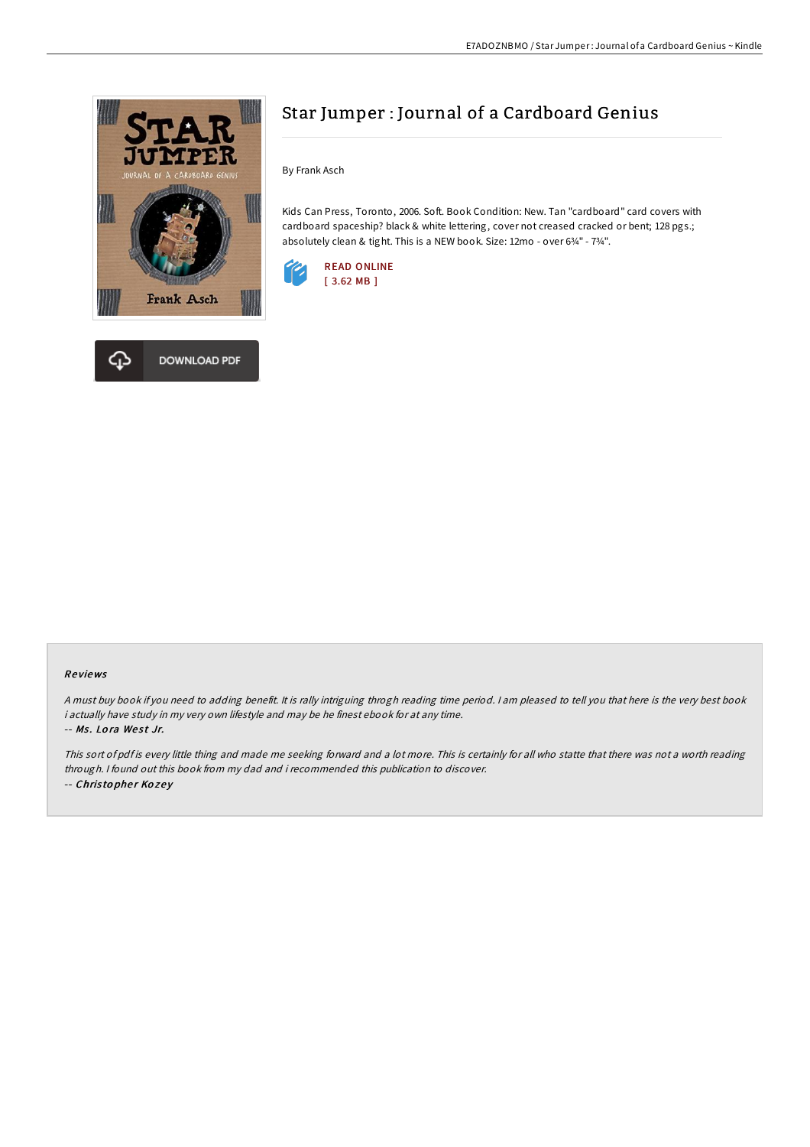



By Frank Asch

Kids Can Press, Toronto, 2006. Soft. Book Condition: New. Tan "cardboard" card covers with cardboard spaceship? black & white lettering, cover not creased cracked or bent; 128 pgs.; absolutely clean & tight. This is a NEW book. Size: 12mo - over 6¾" - 7¾".



### Re views

<sup>A</sup> must buy book if you need to adding benefit. It is rally intriguing throgh reading time period. <sup>I</sup> am pleased to tell you that here is the very best book i actually have study in my very own lifestyle and may be he finest ebook for at any time. -- Ms. Lora West Jr.

This sort of pdf is every little thing and made me seeking forward and <sup>a</sup> lot more. This is certainly for all who statte that there was not <sup>a</sup> worth reading through. <sup>I</sup> found out this book from my dad and i recommended this publication to discover. -- Christopher Kozey